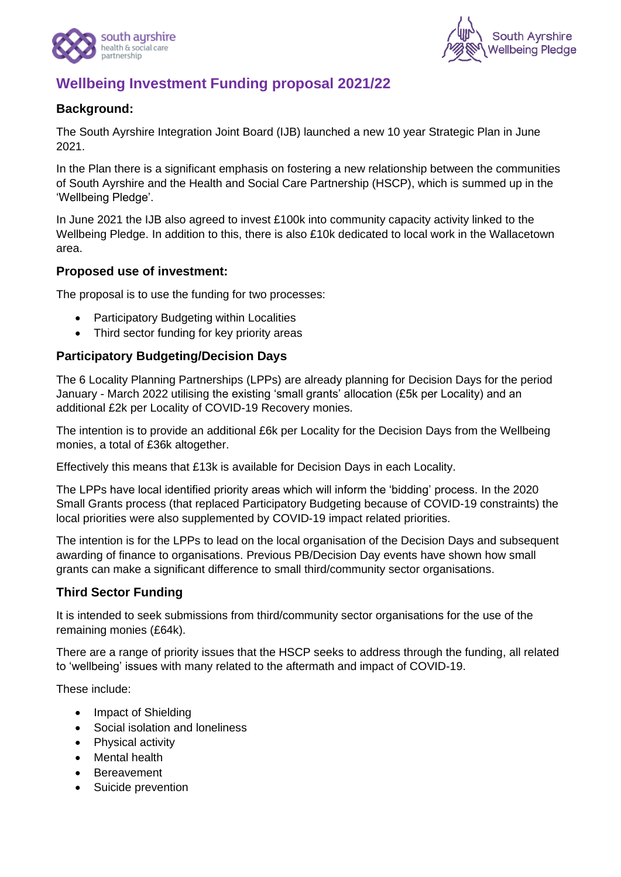



# **Wellbeing Investment Funding proposal 2021/22**

### **Background:**

The South Ayrshire Integration Joint Board (IJB) launched a new 10 year Strategic Plan in June 2021.

In the Plan there is a significant emphasis on fostering a new relationship between the communities of South Ayrshire and the Health and Social Care Partnership (HSCP), which is summed up in the 'Wellbeing Pledge'.

In June 2021 the IJB also agreed to invest £100k into community capacity activity linked to the Wellbeing Pledge. In addition to this, there is also £10k dedicated to local work in the Wallacetown area.

#### **Proposed use of investment:**

The proposal is to use the funding for two processes:

- Participatory Budgeting within Localities
- Third sector funding for key priority areas

#### **Participatory Budgeting/Decision Days**

The 6 Locality Planning Partnerships (LPPs) are already planning for Decision Days for the period January - March 2022 utilising the existing 'small grants' allocation (£5k per Locality) and an additional £2k per Locality of COVID-19 Recovery monies.

The intention is to provide an additional £6k per Locality for the Decision Days from the Wellbeing monies, a total of £36k altogether.

Effectively this means that £13k is available for Decision Days in each Locality.

The LPPs have local identified priority areas which will inform the 'bidding' process. In the 2020 Small Grants process (that replaced Participatory Budgeting because of COVID-19 constraints) the local priorities were also supplemented by COVID-19 impact related priorities.

The intention is for the LPPs to lead on the local organisation of the Decision Days and subsequent awarding of finance to organisations. Previous PB/Decision Day events have shown how small grants can make a significant difference to small third/community sector organisations.

## **Third Sector Funding**

It is intended to seek submissions from third/community sector organisations for the use of the remaining monies (£64k).

There are a range of priority issues that the HSCP seeks to address through the funding, all related to 'wellbeing' issues with many related to the aftermath and impact of COVID-19.

These include:

- Impact of Shielding
- Social isolation and loneliness
- Physical activity
- Mental health
- Bereavement
- Suicide prevention